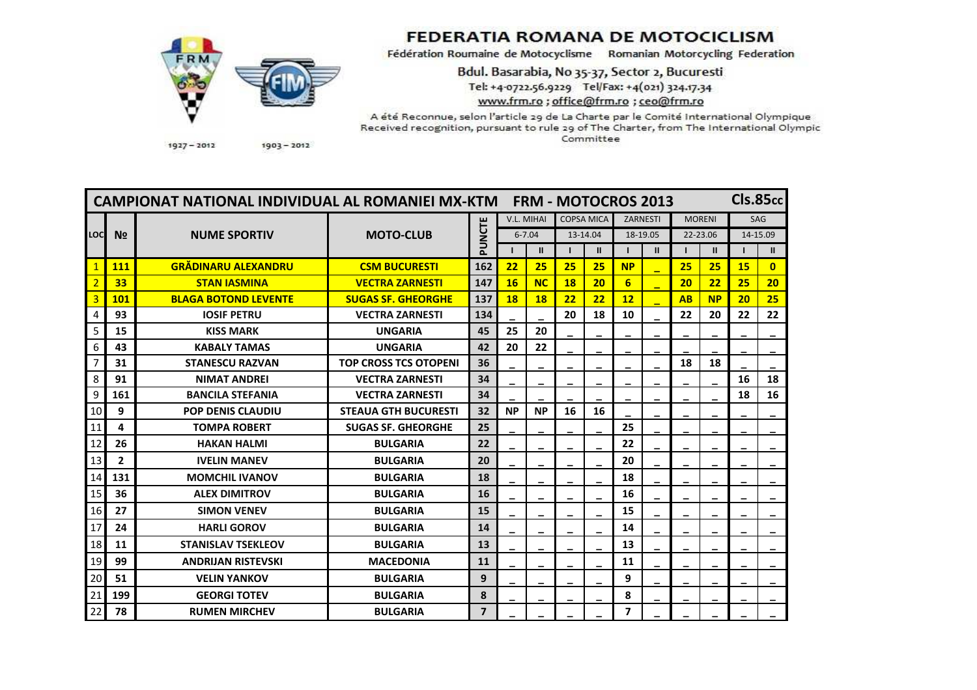

## **FEDERATIA ROMANA DE MOTOCICLISM**

Fédération Roumaine de Motocyclisme Romanian Motorcycling Federation

Bdul. Basarabia, No 35-37, Sector 2, Bucuresti Tel: +4-0722.56.9229 Tel/Fax: +4(021) 324.17.34 www.frm.ro : office@frm.ro : ceo@frm.ro

A été Reconnue, selon l'article 29 de La Charte par le Comité International Olympique Received recognition, pursuant to rule 29 of The Charter, from The International Olympic Committee

**CIs.85cc** CAMPIONAT NATIONAL INDIVIDUAL AL ROMANIFI MX-KTM FRM - MOTOCROS 2013 V.L. MIHAI COPSA MICA ZARNESTI SAG **MORENI** PUNCTE LOC  $N<sub>2</sub>$ **NUME SPORTIV MOTO-CLUB**  $6 - 7.04$ 13-14.04 18-19.05 22-23.06 14-15.09  $\mathbf{L}$  $\mathbf{H}$  $\blacksquare$  $\mathbf{H}$  $\mathbf{L}$  $\mathbf{H}$  $\mathbf{I}$  $\mathbf{H}$  $\mathbf{L}$  $\mathbf{H}$ **GRĂDINARU ALEXANDRU** 162 15  $1$  $111$ **CSM BUCURESTI**  $22$ 25 25  $25$ **NP**  $25$  $25$  $\Omega$  $\overline{2}$ 33 147 **16 NC 18**  $6$  $20$ 25 **STAN IASMINA VECTRA ZARNESTI**  $20$  $22$  $20$  $\overline{3}$ 101 **BLAGA BOTOND LEVENTE SUGAS SF. GHEORGHE** 137 **18 18**  $22$  $22$  $12$ **AB NP**  $20$ 25 134 93 20 18  $10$  $22$  $22$  $22$  $\overline{4}$ **IOSIF PETRU VECTRA ZARNESTI** 20  $\overline{5}$ 45 15 **KISS MARK UNGARIA** 25 20 6 43 **UNGARIA**  $42$ 20  $22$ **KABALY TAMAS**  $\overline{7}$ 36 31 **STANESCU RAZVAN TOP CROSS TCS OTOPENI** 18 18 8 34 16 91 18 **NIMAT ANDREI VECTRA ZARNESTI**  $\overline{34}$  $\overline{9}$ 161 **BANCILA STEFANIA VECTRA ZARNESTI** 18 16  $\overline{9}$  $32$ **NP** 16 10 **POP DENIS CLAUDIU STEAUA GTH BUCURESTI NP 16** 25 11  $\overline{\mathbf{4}}$ **TOMPA ROBERT SUGAS SF. GHEORGHE** 25 12 26  $22$  $22$ **BULGARIA HAKAN HALMI** 13  $\overline{2}$ **IVELIN MANEV BUIGARIA**  $20$  $20$ 131 **MOMCHIL IVANOV BULGARIA** 18 18 14 16 15 36 **ALEX DIMITROV BULGARIA** 16 16  $27$ 15 15 **SIMON VENEV BULGARIA** 17 24 **HARLI GOROV BULGARIA** 14 14 13 13 18 11 **STANISLAV TSEKLEOV BULGARIA** 19 99 **MACFDONIA**  $11$  $11$ **ANDRIIAN RISTFVSKI** 20 51 **VELIN YANKOV BULGARIA**  $9$ 9 199 **GEORGI TOTEV BULGARIA**  $\bf{8}$ 8 21 78 **RUMEN MIRCHEV BULGARIA**  $\overline{7}$  $\overline{\mathbf{z}}$ 22

 $1927 - 2012$ 

 $1903 - 2012$